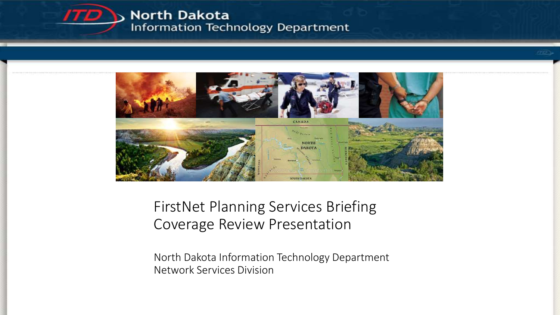



FirstNet Planning Services Briefing Coverage Review Presentation

North Dakota Information Technology Department Network Services Division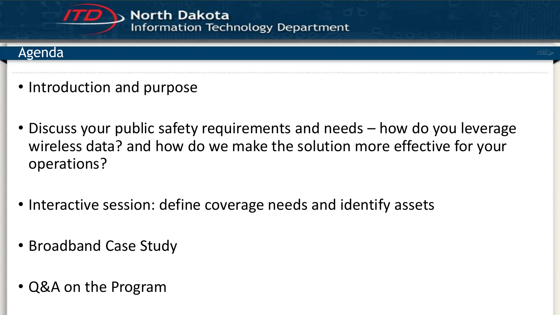

#### Agenda

- Introduction and purpose
- Discuss your public safety requirements and needs how do you leverage wireless data? and how do we make the solution more effective for your operations?
- Interactive session: define coverage needs and identify assets
- Broadband Case Study
- Q&A on the Program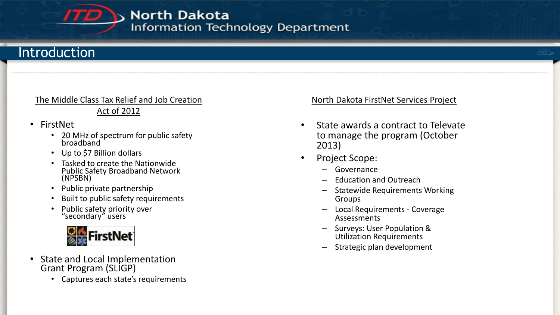### **Introduction**

#### The Middle Class Tax Relief and Job Creation Act of 2012

- FirstNet
	- 20 MHz of spectrum for public safety broadband
	- Up to \$7 Billion dollars
	- Tasked to create the Nationwide Public Safety Broadband Network (NPSBN)
	- Public private partnership
	- Built to public safety requirements
	- Public safety priority over "secondary" users



- State and Local Implementation Grant Program (SLIGP)
	- Captures each state's requirements

North Dakota FirstNet Services Project

- State awards a contract to Televate to manage the program (October 2013)
- Project Scope:
	- Governance
	- Education and Outreach
	- Statewide Requirements Working Groups
	- Local Requirements Coverage Assessments
	- Surveys: User Population & Utilization Requirements
	- Strategic plan development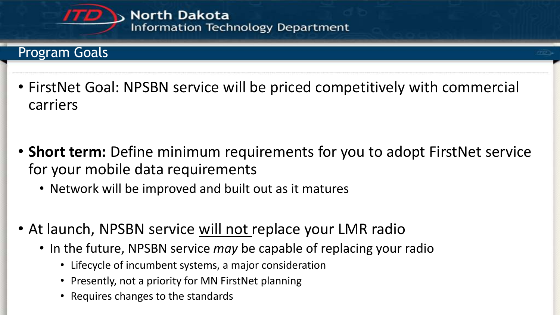

### Program Goals

- FirstNet Goal: NPSBN service will be priced competitively with commercial carriers
- **Short term:** Define minimum requirements for you to adopt FirstNet service for your mobile data requirements
	- Network will be improved and built out as it matures
- At launch, NPSBN service will not replace your LMR radio
	- In the future, NPSBN service *may* be capable of replacing your radio
		- Lifecycle of incumbent systems, a major consideration
		- Presently, not a priority for MN FirstNet planning
		- Requires changes to the standards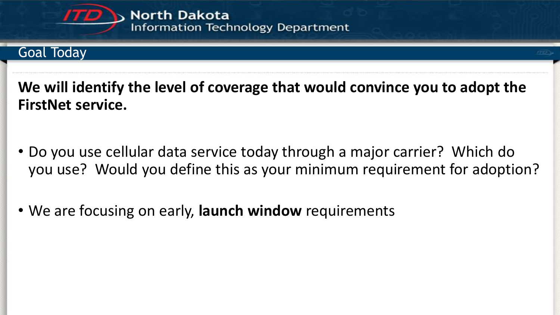

### Goal Today

**We will identify the level of coverage that would convince you to adopt the FirstNet service.** 

- Do you use cellular data service today through a major carrier? Which do you use? Would you define this as your minimum requirement for adoption?
- We are focusing on early, **launch window** requirements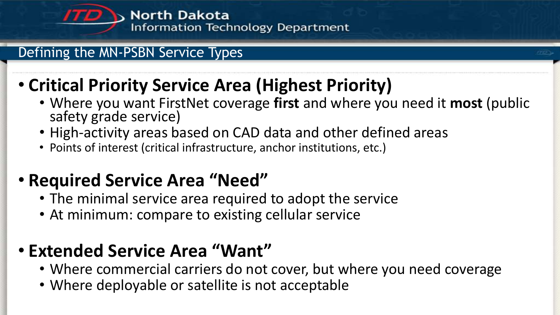

### Defining the MN-PSBN Service Types

# • **Critical Priority Service Area (Highest Priority)**

- Where you want FirstNet coverage **first** and where you need it **most** (public safety grade service)
- High-activity areas based on CAD data and other defined areas
- Points of interest (critical infrastructure, anchor institutions, etc.)

# • **Required Service Area "Need"**

- The minimal service area required to adopt the service
- At minimum: compare to existing cellular service

### • **Extended Service Area "Want"**

- Where commercial carriers do not cover, but where you need coverage
- Where deployable or satellite is not acceptable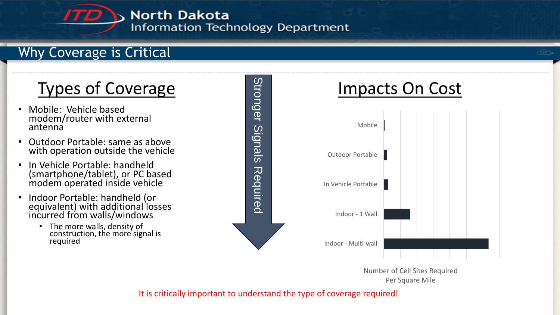### Why Coverage is Critical

# Types of Coverage

- Mobile: Vehicle based modem/router with external antenna
- Outdoor Portable: same as above with operation outside the vehicle
- In Vehicle Portable: handheld (smartphone/tablet), or PC based modem operated inside vehicle
- Indoor Portable: handheld (or equivalent) with additional losses incurred from walls/windows
	- The more walls, density of construction, the more signal is required





Number of Cell Sites Required Per Square Mile

It is critically important to understand the type of coverage required!

Stronger Signals Required

Slanals

Required

**Stronger**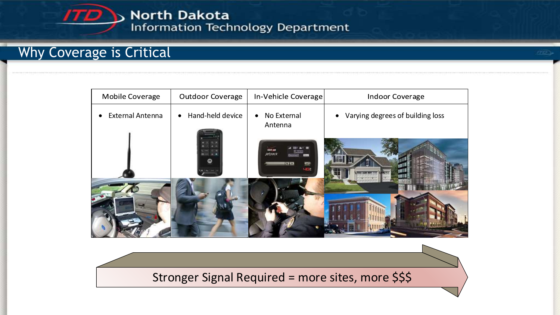

### Why Coverage is Critical



Stronger Signal Required = more sites, more \$\$\$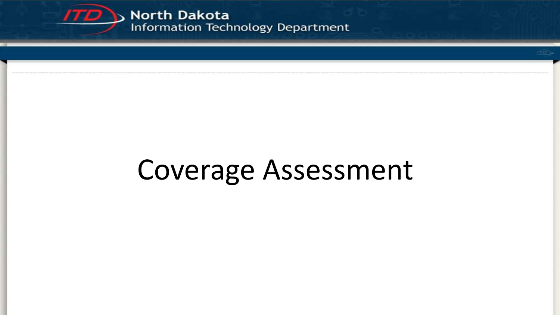

Coverage Assessment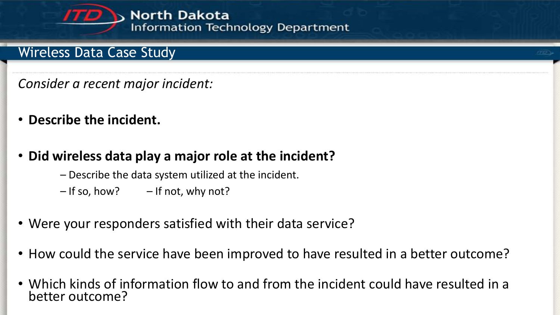

### Wireless Data Case Study

- *Consider a recent major incident:*
- **Describe the incident.**
- **Did wireless data play a major role at the incident?**
	- Describe the data system utilized at the incident.
	- $-$  If so, how?  $-$  If not, why not?
- Were your responders satisfied with their data service?
- How could the service have been improved to have resulted in a better outcome?
- Which kinds of information flow to and from the incident could have resulted in a better outcome?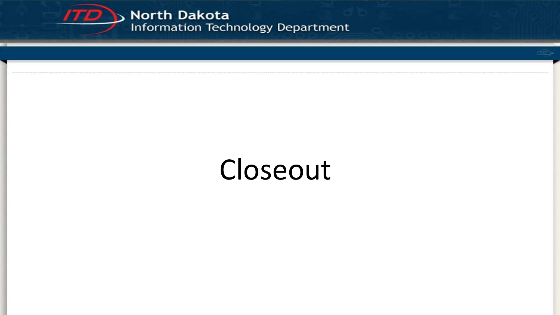

| Closeout |  |
|----------|--|
|          |  |
|          |  |